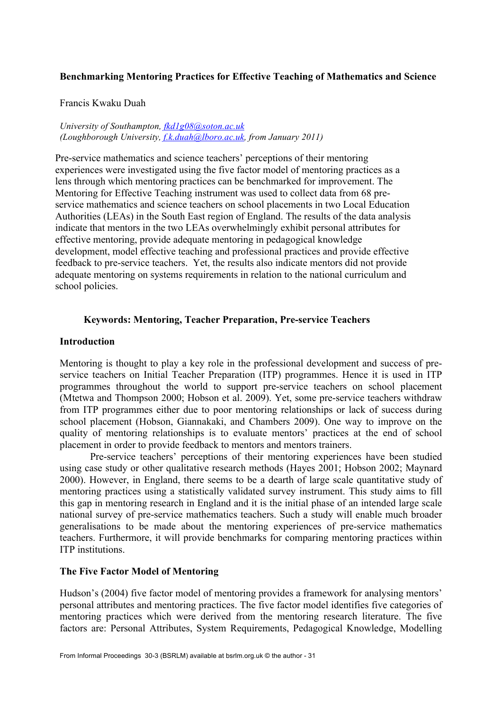## **Benchmarking Mentoring Practices for Effective Teaching of Mathematics and Science**

#### Francis Kwaku Duah

*University of Southampton, fkd1g08@soton.ac.uk (Loughborough University, f.k.duah@lboro.ac.uk, from January 2011)*

Pre-service mathematics and science teachers' perceptions of their mentoring experiences were investigated using the five factor model of mentoring practices as a lens through which mentoring practices can be benchmarked for improvement. The Mentoring for Effective Teaching instrument was used to collect data from 68 preservice mathematics and science teachers on school placements in two Local Education Authorities (LEAs) in the South East region of England. The results of the data analysis indicate that mentors in the two LEAs overwhelmingly exhibit personal attributes for effective mentoring, provide adequate mentoring in pedagogical knowledge development, model effective teaching and professional practices and provide effective feedback to pre-service teachers. Yet, the results also indicate mentors did not provide adequate mentoring on systems requirements in relation to the national curriculum and school policies.

## **Keywords: Mentoring, Teacher Preparation, Pre-service Teachers**

#### **Introduction**

Mentoring is thought to play a key role in the professional development and success of preservice teachers on Initial Teacher Preparation (ITP) programmes. Hence it is used in ITP programmes throughout the world to support pre-service teachers on school placement (Mtetwa and Thompson 2000; Hobson et al. 2009). Yet, some pre-service teachers withdraw from ITP programmes either due to poor mentoring relationships or lack of success during school placement (Hobson, Giannakaki, and Chambers 2009). One way to improve on the quality of mentoring relationships is to evaluate mentors' practices at the end of school placement in order to provide feedback to mentors and mentors trainers.

Pre-service teachers' perceptions of their mentoring experiences have been studied using case study or other qualitative research methods (Hayes 2001; Hobson 2002; Maynard 2000). However, in England, there seems to be a dearth of large scale quantitative study of mentoring practices using a statistically validated survey instrument. This study aims to fill this gap in mentoring research in England and it is the initial phase of an intended large scale national survey of pre-service mathematics teachers. Such a study will enable much broader generalisations to be made about the mentoring experiences of pre-service mathematics teachers. Furthermore, it will provide benchmarks for comparing mentoring practices within ITP institutions.

## **The Five Factor Model of Mentoring**

Hudson's (2004) five factor model of mentoring provides a framework for analysing mentors' personal attributes and mentoring practices. The five factor model identifies five categories of mentoring practices which were derived from the mentoring research literature. The five factors are: Personal Attributes, System Requirements, Pedagogical Knowledge, Modelling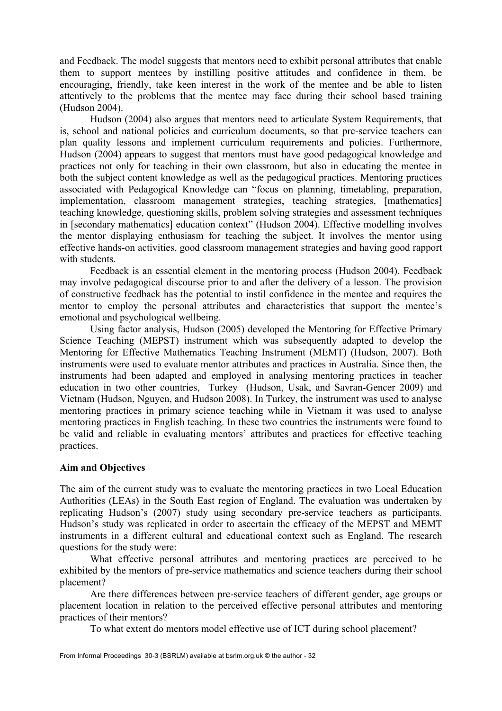and Feedback. The model suggests that mentors need to exhibit personal attributes that enable them to support mentees by instilling positive attitudes and confidence in them, be encouraging, friendly, take keen interest in the work of the mentee and be able to listen attentively to the problems that the mentee may face during their school based training (Hudson 2004).

Hudson (2004) also argues that mentors need to articulate System Requirements, that is, school and national policies and curriculum documents, so that pre-service teachers can plan quality lessons and implement curriculum requirements and policies. Furthermore, Hudson (2004) appears to suggest that mentors must have good pedagogical knowledge and practices not only for teaching in their own classroom, but also in educating the mentee in both the subject content knowledge as well as the pedagogical practices. Mentoring practices associated with Pedagogical Knowledge can "focus on planning, timetabling, preparation, implementation, classroom management strategies, teaching strategies, [mathematics] teaching knowledge, questioning skills, problem solving strategies and assessment techniques in [secondary mathematics] education context" (Hudson 2004). Effective modelling involves the mentor displaying enthusiasm for teaching the subject. It involves the mentor using effective hands-on activities, good classroom management strategies and having good rapport with students.

Feedback is an essential element in the mentoring process (Hudson 2004). Feedback may involve pedagogical discourse prior to and after the delivery of a lesson. The provision of constructive feedback has the potential to instil confidence in the mentee and requires the mentor to employ the personal attributes and characteristics that support the mentee's emotional and psychological wellbeing.

Using factor analysis, Hudson (2005) developed the Mentoring for Effective Primary Science Teaching (MEPST) instrument which was subsequently adapted to develop the Mentoring for Effective Mathematics Teaching Instrument (MEMT) (Hudson, 2007). Both instruments were used to evaluate mentor attributes and practices in Australia. Since then, the instruments had been adapted and employed in analysing mentoring practices in teacher education in two other countries, Turkey (Hudson, Usak, and Savran-Gencer 2009) and Vietnam (Hudson, Nguyen, and Hudson 2008). In Turkey, the instrument was used to analyse mentoring practices in primary science teaching while in Vietnam it was used to analyse mentoring practices in English teaching. In these two countries the instruments were found to be valid and reliable in evaluating mentors' attributes and practices for effective teaching practices.

## **Aim and Objectives**

The aim of the current study was to evaluate the mentoring practices in two Local Education Authorities (LEAs) in the South East region of England. The evaluation was undertaken by replicating Hudson's (2007) study using secondary pre-service teachers as participants. Hudson's study was replicated in order to ascertain the efficacy of the MEPST and MEMT instruments in a different cultural and educational context such as England. The research questions for the study were:

What effective personal attributes and mentoring practices are perceived to be exhibited by the mentors of pre-service mathematics and science teachers during their school placement?

Are there differences between pre-service teachers of different gender, age groups or placement location in relation to the perceived effective personal attributes and mentoring practices of their mentors?

To what extent do mentors model effective use of ICT during school placement?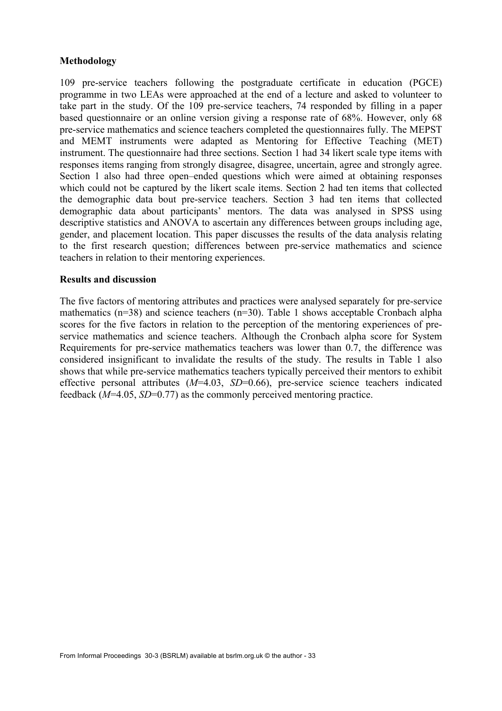## **Methodology**

109 pre-service teachers following the postgraduate certificate in education (PGCE) programme in two LEAs were approached at the end of a lecture and asked to volunteer to take part in the study. Of the 109 pre-service teachers, 74 responded by filling in a paper based questionnaire or an online version giving a response rate of 68%. However, only 68 pre-service mathematics and science teachers completed the questionnaires fully. The MEPST and MEMT instruments were adapted as Mentoring for Effective Teaching (MET) instrument. The questionnaire had three sections. Section 1 had 34 likert scale type items with responses items ranging from strongly disagree, disagree, uncertain, agree and strongly agree. Section 1 also had three open–ended questions which were aimed at obtaining responses which could not be captured by the likert scale items. Section 2 had ten items that collected the demographic data bout pre-service teachers. Section 3 had ten items that collected demographic data about participants' mentors. The data was analysed in SPSS using descriptive statistics and ANOVA to ascertain any differences between groups including age, gender, and placement location. This paper discusses the results of the data analysis relating to the first research question; differences between pre-service mathematics and science teachers in relation to their mentoring experiences.

## **Results and discussion**

The five factors of mentoring attributes and practices were analysed separately for pre-service mathematics (n=38) and science teachers (n=30). Table 1 shows acceptable Cronbach alpha scores for the five factors in relation to the perception of the mentoring experiences of preservice mathematics and science teachers. Although the Cronbach alpha score for System Requirements for pre-service mathematics teachers was lower than 0.7, the difference was considered insignificant to invalidate the results of the study. The results in Table 1 also shows that while pre-service mathematics teachers typically perceived their mentors to exhibit effective personal attributes (*M*=4.03, *SD*=0.66), pre-service science teachers indicated feedback (*M*=4.05, *SD*=0.77) as the commonly perceived mentoring practice.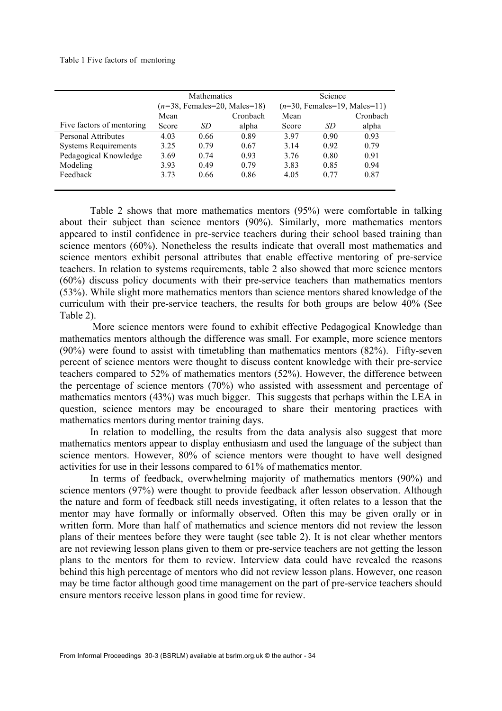#### Table 1 Five factors of mentoring

|                             |       | Mathematics |                                | Science                        |      |          |  |
|-----------------------------|-------|-------------|--------------------------------|--------------------------------|------|----------|--|
|                             |       |             | $(n=38, Females=20, Males=18)$ | $(n=30,$ Females=19, Males=11) |      |          |  |
|                             | Mean  |             | Cronbach                       | Mean                           |      | Cronbach |  |
| Five factors of mentoring   | Score | SD.         | alpha                          | Score                          | SD   | alpha    |  |
| <b>Personal Attributes</b>  | 4.03  | 0.66        | 0.89                           | 397                            | 0.90 | 0.93     |  |
| <b>Systems Requirements</b> | 3.25  | 0.79        | 0.67                           | 3.14                           | 0.92 | 0.79     |  |
| Pedagogical Knowledge       | 3.69  | 0.74        | 0.93                           | 3.76                           | 0.80 | 0.91     |  |
| Modeling                    | 3.93  | 0.49        | 0.79                           | 3.83                           | 0.85 | 0.94     |  |
| Feedback                    | 3.73  | 0.66        | 0.86                           | 4.05                           | 0.77 | 0.87     |  |
|                             |       |             |                                |                                |      |          |  |

Table 2 shows that more mathematics mentors (95%) were comfortable in talking about their subject than science mentors (90%). Similarly, more mathematics mentors appeared to instil confidence in pre-service teachers during their school based training than science mentors (60%). Nonetheless the results indicate that overall most mathematics and science mentors exhibit personal attributes that enable effective mentoring of pre-service teachers. In relation to systems requirements, table 2 also showed that more science mentors (60%) discuss policy documents with their pre-service teachers than mathematics mentors (53%). While slight more mathematics mentors than science mentors shared knowledge of the curriculum with their pre-service teachers, the results for both groups are below 40% (See Table 2).

 More science mentors were found to exhibit effective Pedagogical Knowledge than mathematics mentors although the difference was small. For example, more science mentors (90%) were found to assist with timetabling than mathematics mentors (82%). Fifty-seven percent of science mentors were thought to discuss content knowledge with their pre-service teachers compared to 52% of mathematics mentors (52%). However, the difference between the percentage of science mentors (70%) who assisted with assessment and percentage of mathematics mentors (43%) was much bigger. This suggests that perhaps within the LEA in question, science mentors may be encouraged to share their mentoring practices with mathematics mentors during mentor training days.

In relation to modelling, the results from the data analysis also suggest that more mathematics mentors appear to display enthusiasm and used the language of the subject than science mentors. However, 80% of science mentors were thought to have well designed activities for use in their lessons compared to 61% of mathematics mentor.

In terms of feedback, overwhelming majority of mathematics mentors (90%) and science mentors (97%) were thought to provide feedback after lesson observation. Although the nature and form of feedback still needs investigating, it often relates to a lesson that the mentor may have formally or informally observed. Often this may be given orally or in written form. More than half of mathematics and science mentors did not review the lesson plans of their mentees before they were taught (see table 2). It is not clear whether mentors are not reviewing lesson plans given to them or pre-service teachers are not getting the lesson plans to the mentors for them to review. Interview data could have revealed the reasons behind this high percentage of mentors who did not review lesson plans. However, one reason may be time factor although good time management on the part of pre-service teachers should ensure mentors receive lesson plans in good time for review.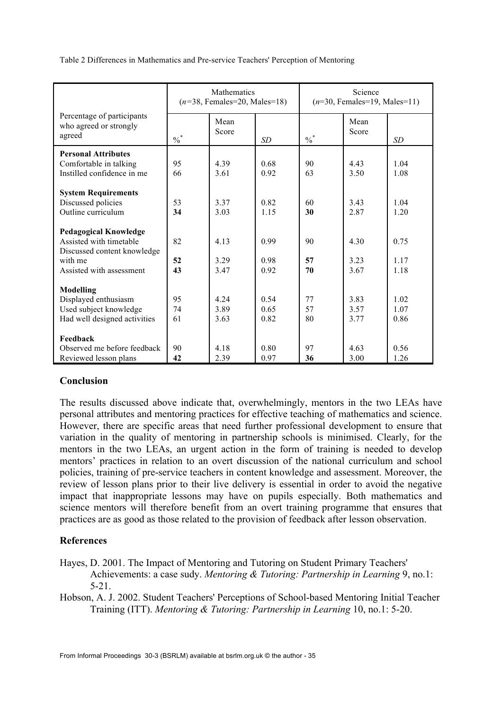|                                                                | <b>Mathematics</b><br>$(n=38, Females=20, Males=18)$ |               |           | Science<br>$(n=30, Females=19, Males=11)$ |               |       |
|----------------------------------------------------------------|------------------------------------------------------|---------------|-----------|-------------------------------------------|---------------|-------|
| Percentage of participants<br>who agreed or strongly<br>agreed | $\frac{0}{6}$                                        | Mean<br>Score | <b>SD</b> | $\frac{0}{6}$                             | Mean<br>Score | SD    |
| <b>Personal Attributes</b>                                     |                                                      |               |           |                                           |               |       |
| Comfortable in talking                                         | 95                                                   | 4.39          | 0.68      | 90                                        | 4.43          | 1.04  |
| Instilled confidence in me                                     | 66                                                   | 3.61          | 0.92      | 63                                        | 3.50          | 1.08  |
|                                                                |                                                      |               |           |                                           |               |       |
| <b>System Requirements</b>                                     |                                                      |               |           |                                           |               |       |
| Discussed policies                                             | 53                                                   | 3.37          | 0.82      | 60                                        | 3.43          | 1.04  |
| Outline curriculum                                             | 34                                                   | 3.03          | 1.15      | 30                                        | 2.87          | 1.20  |
| <b>Pedagogical Knowledge</b>                                   |                                                      |               |           |                                           |               |       |
| Assisted with timetable                                        | 82                                                   | 4.13          | 0.99      | 90                                        | 4.30          | 0.75  |
| Discussed content knowledge                                    |                                                      |               |           |                                           |               |       |
| with me                                                        | 52                                                   | 3.29          | 0.98      | 57                                        | 3.23          | 1 1 7 |
| Assisted with assessment                                       | 43                                                   | 3.47          | 0.92      | 70                                        | 3.67          | 1.18  |
|                                                                |                                                      |               |           |                                           |               |       |
| Modelling                                                      |                                                      |               |           |                                           |               |       |
| Displayed enthusiasm                                           | 95                                                   | 4.24          | 0.54      | 77                                        | 3.83          | 1.02  |
| Used subject knowledge                                         | 74                                                   | 3.89          | 0.65      | 57                                        | 3.57          | 1.07  |
| Had well designed activities                                   | 61                                                   | 3.63          | 0.82      | 80                                        | 3.77          | 0.86  |
|                                                                |                                                      |               |           |                                           |               |       |
| Feedback                                                       |                                                      |               |           |                                           |               |       |
| Observed me before feedback                                    | 90                                                   | 4.18          | 0.80      | 97                                        | 4.63          | 0.56  |
| Reviewed lesson plans                                          | 42                                                   | 2.39          | 0.97      | 36                                        | 3.00          | 1.26  |

Table 2 Differences in Mathematics and Pre-service Teachers' Perception of Mentoring

## **Conclusion**

The results discussed above indicate that, overwhelmingly, mentors in the two LEAs have personal attributes and mentoring practices for effective teaching of mathematics and science. However, there are specific areas that need further professional development to ensure that variation in the quality of mentoring in partnership schools is minimised. Clearly, for the mentors in the two LEAs, an urgent action in the form of training is needed to develop mentors' practices in relation to an overt discussion of the national curriculum and school policies, training of pre-service teachers in content knowledge and assessment. Moreover, the review of lesson plans prior to their live delivery is essential in order to avoid the negative impact that inappropriate lessons may have on pupils especially. Both mathematics and science mentors will therefore benefit from an overt training programme that ensures that practices are as good as those related to the provision of feedback after lesson observation.

# **References**

- Hayes, D. 2001. The Impact of Mentoring and Tutoring on Student Primary Teachers' Achievements: a case sudy. *Mentoring & Tutoring: Partnership in Learning* 9, no.1: 5-21.
- Hobson, A. J. 2002. Student Teachers' Perceptions of School-based Mentoring Initial Teacher Training (ITT). *Mentoring & Tutoring: Partnership in Learning* 10, no.1: 5-20.